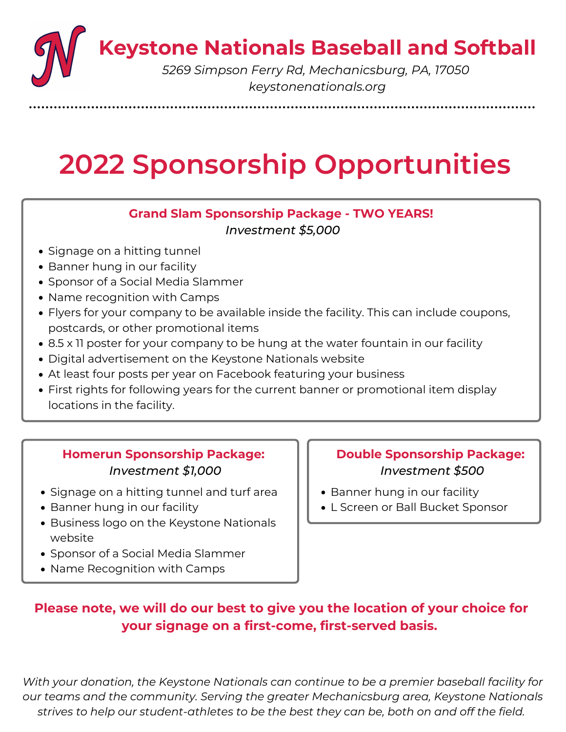**Keystone Nationals Baseball and Softball**

*5269 Simpson Ferry Rd, Mechanicsburg, PA, 17050 keystonenationals.org*

# **2022 Sponsorship Opportunities**

#### **Grand Slam Sponsorship Package - TWO YEARS!** *Investment \$5,000*

- Signage on a hitting tunnel
- Banner hung in our facility
- Sponsor of a Social Media Slammer
- Name recognition with Camps
- Flyers for your company to be available inside the facility. This can include coupons, postcards, or other promotional items
- 8.5 x 11 poster for your company to be hung at the water fountain in our facility
- Digital advertisement on the Keystone Nationals website
- At least four posts per year on Facebook featuring your business
- First rights for following years for the current banner or promotional item display locations in the facility.

### **Homerun Sponsorship Package:** *Investment \$1,000*

- Signage on a hitting tunnel and turf area
- Banner hung in our facility
- Business logo on the Keystone Nationals website
- Sponsor of a Social Media Slammer
- Name Recognition with Camps

### **Double Sponsorship Package:** *Investment \$500*

- Banner hung in our facility
- L Screen or Ball Bucket Sponsor

## **Please note, we will do our best to give you the location of your choice for your signage on a first-come, first-served basis.**

*With your donation, the Keystone Nationals can continue to be a premier baseball facility for our teams and the community. Serving the greater Mechanicsburg area, Keystone Nationals strives to help our student-athletes to be the best they can be, both on and off the field.*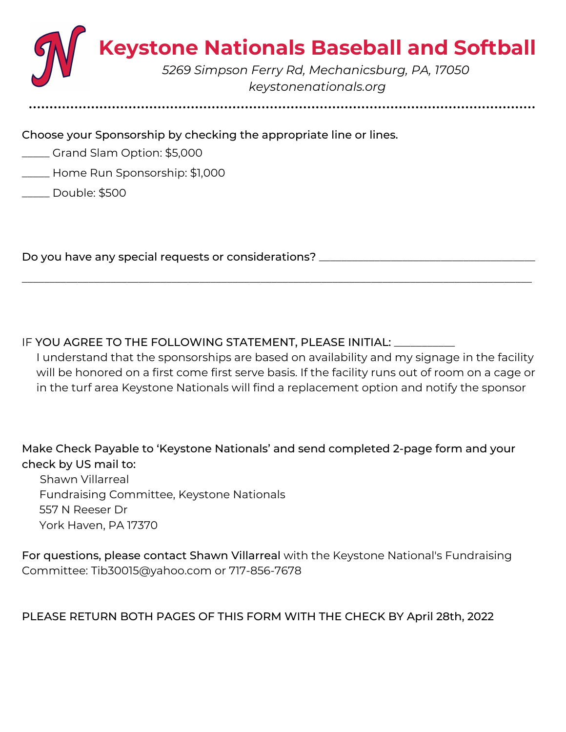

Choose your Sponsorship by checking the appropriate line or lines.

- \_\_\_\_\_ Grand Slam Option: \$5,000
- \_\_\_\_\_ Home Run Sponsorship: \$1,000
- \_\_\_\_\_ Double: \$500

Do you have any special requests or considerations? \_\_\_\_\_\_\_\_\_\_\_\_\_\_\_\_\_\_\_\_\_\_\_\_\_\_\_\_\_

IF YOU AGREE TO THE FOLLOWING STATEMENT, PLEASE INITIAL: \_\_\_\_\_\_\_\_\_\_\_

I understand that the sponsorships are based on availability and my signage in the facility will be honored on a first come first serve basis. If the facility runs out of room on a cage or in the turf area Keystone Nationals will find a replacement option and notify the sponsor

 $\_$  , and the contribution of the contribution of  $\mathcal{L}_\mathcal{A}$  , and the contribution of  $\mathcal{L}_\mathcal{A}$ 

Make Check Payable to 'Keystone Nationals' and send completed 2-page form and your check by US mail to:

Shawn Villarreal Fundraising Committee, Keystone Nationals 557 N Reeser Dr York Haven, PA 17370

For questions, please contact Shawn Villarreal with the Keystone National's Fundraising Committee: Tib30015@yahoo.com or 717-856-7678

PLEASE RETURN BOTH PAGES OF THIS FORM WITH THE CHECK BY April 28th, 2022